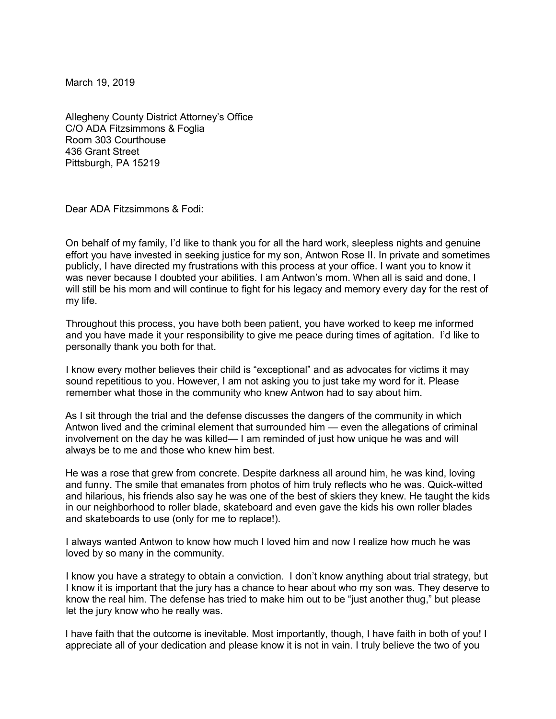March 19, 2019

Allegheny County District Attorney's Office C/O ADA Fitzsimmons & Foglia Room 303 Courthouse 436 Grant Street Pittsburgh, PA 15219

Dear ADA Fitzsimmons & Fodi:

On behalf of my family, I'd like to thank you for all the hard work, sleepless nights and genuine effort you have invested in seeking justice for my son, Antwon Rose II. In private and sometimes publicly, I have directed my frustrations with this process at your office. I want you to know it was never because I doubted your abilities. I am Antwon's mom. When all is said and done, I will still be his mom and will continue to fight for his legacy and memory every day for the rest of my life.

Throughout this process, you have both been patient, you have worked to keep me informed and you have made it your responsibility to give me peace during times of agitation. I'd like to personally thank you both for that.

I know every mother believes their child is "exceptional" and as advocates for victims it may sound repetitious to you. However, I am not asking you to just take my word for it. Please remember what those in the community who knew Antwon had to say about him.

As I sit through the trial and the defense discusses the dangers of the community in which Antwon lived and the criminal element that surrounded him — even the allegations of criminal involvement on the day he was killed— I am reminded of just how unique he was and will always be to me and those who knew him best.

He was a rose that grew from concrete. Despite darkness all around him, he was kind, loving and funny. The smile that emanates from photos of him truly reflects who he was. Quick-witted and hilarious, his friends also say he was one of the best of skiers they knew. He taught the kids in our neighborhood to roller blade, skateboard and even gave the kids his own roller blades and skateboards to use (only for me to replace!).

I always wanted Antwon to know how much I loved him and now I realize how much he was loved by so many in the community.

I know you have a strategy to obtain a conviction. I don't know anything about trial strategy, but I know it is important that the jury has a chance to hear about who my son was. They deserve to know the real him. The defense has tried to make him out to be "just another thug," but please let the jury know who he really was.

I have faith that the outcome is inevitable. Most importantly, though, I have faith in both of you! I appreciate all of your dedication and please know it is not in vain. I truly believe the two of you